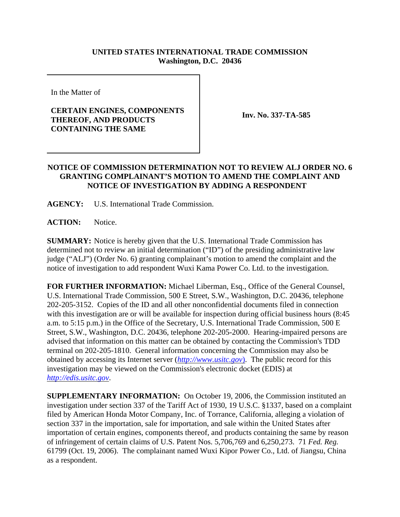## **UNITED STATES INTERNATIONAL TRADE COMMISSION Washington, D.C. 20436**

In the Matter of

## **CERTAIN ENGINES, COMPONENTS THEREOF, AND PRODUCTS CONTAINING THE SAME**

**Inv. No. 337-TA-585**

## **NOTICE OF COMMISSION DETERMINATION NOT TO REVIEW ALJ ORDER NO. 6 GRANTING COMPLAINANT'S MOTION TO AMEND THE COMPLAINT AND NOTICE OF INVESTIGATION BY ADDING A RESPONDENT**

**AGENCY:** U.S. International Trade Commission.

**ACTION:** Notice.

**SUMMARY:** Notice is hereby given that the U.S. International Trade Commission has determined not to review an initial determination ("ID") of the presiding administrative law judge ("ALJ") (Order No. 6) granting complainant's motion to amend the complaint and the notice of investigation to add respondent Wuxi Kama Power Co. Ltd. to the investigation.

**FOR FURTHER INFORMATION:** Michael Liberman, Esq., Office of the General Counsel, U.S. International Trade Commission, 500 E Street, S.W., Washington, D.C. 20436, telephone 202-205-3152. Copies of the ID and all other nonconfidential documents filed in connection with this investigation are or will be available for inspection during official business hours (8:45 a.m. to 5:15 p.m.) in the Office of the Secretary, U.S. International Trade Commission, 500 E Street, S.W., Washington, D.C. 20436, telephone 202-205-2000. Hearing-impaired persons are advised that information on this matter can be obtained by contacting the Commission's TDD terminal on 202-205-1810. General information concerning the Commission may also be obtained by accessing its Internet server (*http://www.usitc.gov*). The public record for this investigation may be viewed on the Commission's electronic docket (EDIS) at *http://edis.usitc.gov*.

**SUPPLEMENTARY INFORMATION:** On October 19, 2006, the Commission instituted an investigation under section 337 of the Tariff Act of 1930, 19 U.S.C. §1337, based on a complaint filed by American Honda Motor Company, Inc. of Torrance, California, alleging a violation of section 337 in the importation, sale for importation, and sale within the United States after importation of certain engines, components thereof, and products containing the same by reason of infringement of certain claims of U.S. Patent Nos. 5,706,769 and 6,250,273. 71 *Fed. Reg.* 61799 (Oct. 19, 2006). The complainant named Wuxi Kipor Power Co., Ltd. of Jiangsu, China as a respondent.